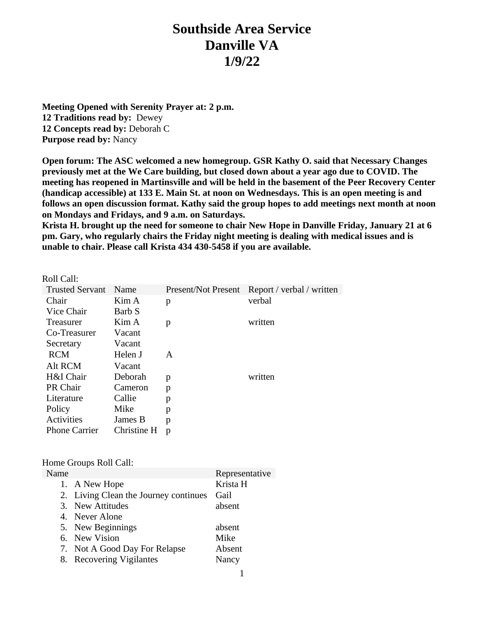# **Southside Area Service Danville VA 1/9/22**

**Meeting Opened with Serenity Prayer at: 2 p.m. 12 Traditions read by:** Dewey **12 Concepts read by:** Deborah C **Purpose read by:** Nancy

**Open forum: The ASC welcomed a new homegroup. GSR Kathy O. said that Necessary Changes previously met at the We Care building, but closed down about a year ago due to COVID. The meeting has reopened in Martinsville and will be held in the basement of the Peer Recovery Center (handicap accessible) at 133 E. Main St. at noon on Wednesdays. This is an open meeting is and follows an open discussion format. Kathy said the group hopes to add meetings next month at noon on Mondays and Fridays, and 9 a.m. on Saturdays.** 

**Krista H. brought up the need for someone to chair New Hope in Danville Friday, January 21 at 6 pm. Gary, who regularly chairs the Friday night meeting is dealing with medical issues and is unable to chair. Please call Krista 434 430-5458 if you are available.**

| Roll Call:             |             |                     |                           |
|------------------------|-------------|---------------------|---------------------------|
| <b>Trusted Servant</b> | Name        | Present/Not Present | Report / verbal / written |
| Chair                  | Kim A       | p                   | verbal                    |
| Vice Chair             | Barb S      |                     |                           |
| Treasurer              | Kim A       | p                   | written                   |
| Co-Treasurer           | Vacant      |                     |                           |
| Secretary              | Vacant      |                     |                           |
| <b>RCM</b>             | Helen J     | A                   |                           |
| Alt RCM                | Vacant      |                     |                           |
| H&I Chair              | Deborah     | p                   | written                   |
| PR Chair               | Cameron     | p                   |                           |
| Literature             | Callie      | p                   |                           |
| Policy                 | Mike        | p                   |                           |
| Activities             | James B     | p                   |                           |
| <b>Phone Carrier</b>   | Christine H | p                   |                           |
|                        |             |                     |                           |
|                        |             |                     |                           |

|      | Home Groups Roll Call:                |                |
|------|---------------------------------------|----------------|
| Name |                                       | Representative |
|      | 1. A New Hope                         | Krista H       |
|      | 2. Living Clean the Journey continues | Gail           |
|      | 3. New Attitudes                      | absent         |
|      | 4. Never Alone                        |                |
|      | 5. New Beginnings                     | absent         |
|      | 6. New Vision                         | Mike           |
|      | 7. Not A Good Day For Relapse         | Absent         |
|      | 8. Recovering Vigilantes              | Nancy          |
|      |                                       |                |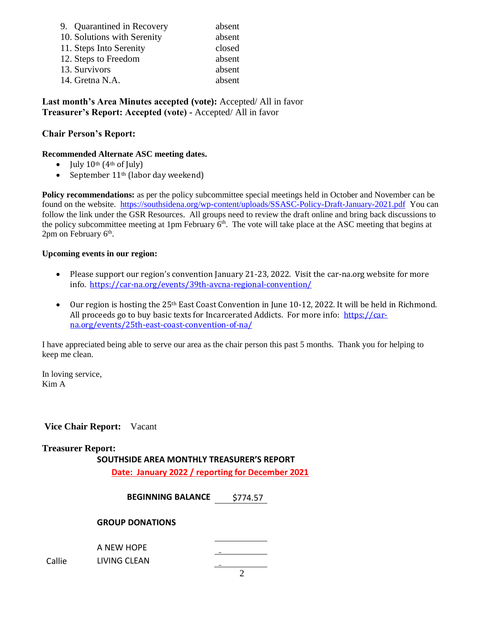| 9. Quarantined in Recovery  | absent |
|-----------------------------|--------|
| 10. Solutions with Serenity | absent |
| 11. Steps Into Serenity     | closed |
| 12. Steps to Freedom        | absent |
| 13. Survivors               | absent |
| 14. Gretna N.A.             | absent |

**Last month's Area Minutes accepted (vote):** Accepted/ All in favor **Treasurer's Report: Accepted (vote) -** Accepted/ All in favor

# **Chair Person's Report:**

## **Recommended Alternate ASC meeting dates.**

- July  $10^{th}$  (4<sup>th</sup> of July)
- September  $11<sup>th</sup>$  (labor day weekend)

**Policy recommendations:** as per the policy subcommittee special meetings held in October and November can be found on the website. [https://southsidena.org/wp-content/uploads/SSASC-Policy-Draft-January-2021.pdf](https://southsidena.org/wp-content/uploads/SSASC-Policy-Draft-January-2021.pdf/) You can follow the link under the GSR Resources. All groups need to review the draft online and bring back discussions to the policy subcommittee meeting at 1pm February  $6<sup>th</sup>$ . The vote will take place at the ASC meeting that begins at  $2$ pm on February  $6<sup>th</sup>$ .

## **Upcoming events in our region:**

- Please support our region's convention January 21-23, 2022. Visit the car-na.org website for more info. <https://car-na.org/events/39th-avcna-regional-convention/>
- Our region is hosting the 25th East Coast Convention in June 10-12, 2022. It will be held in Richmond. All proceeds go to buy basic texts for Incarcerated Addicts. For more info: [https://car](https://car-na.org/events/25th-east-coast-convention-of-na/)[na.org/events/25th-east-coast-convention-of-na/](https://car-na.org/events/25th-east-coast-convention-of-na/)

I have appreciated being able to serve our area as the chair person this past 5 months. Thank you for helping to keep me clean.

In loving service, Kim A

# **Vice Chair Report:** Vacant

## **Treasurer Report:**

**SOUTHSIDE AREA MONTHLY TREASURER'S REPORT Date: January 2022 / reporting for December 2021**

**BEGINNING BALANCE** \$774.57

## **GROUP DONATIONS**

|        | A NEW HOPE   | - |
|--------|--------------|---|
| Callie | LIVING CLEAN | - |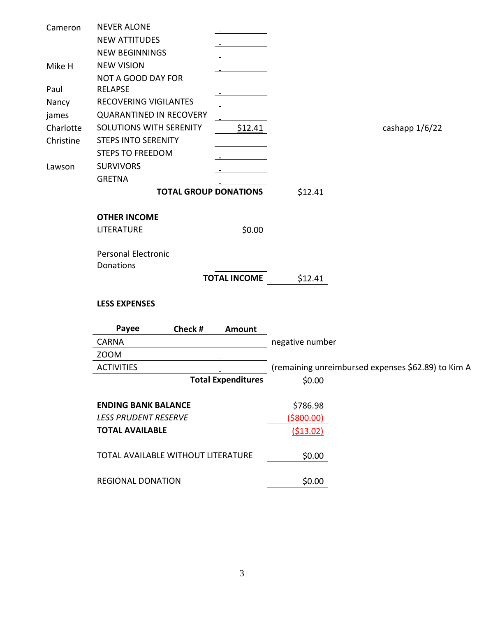| Cameron   | <b>NEVER ALONE</b>                 |                           |                 |                                                    |
|-----------|------------------------------------|---------------------------|-----------------|----------------------------------------------------|
|           | <b>NEW ATTITUDES</b>               |                           |                 |                                                    |
|           | <b>NEW BEGINNINGS</b>              |                           |                 |                                                    |
| Mike H    | <b>NEW VISION</b>                  |                           |                 |                                                    |
|           | NOT A GOOD DAY FOR                 |                           |                 |                                                    |
| Paul      | <b>RELAPSE</b>                     |                           |                 |                                                    |
| Nancy     | <b>RECOVERING VIGILANTES</b>       |                           |                 |                                                    |
| james     | <b>QUARANTINED IN RECOVERY</b>     |                           |                 |                                                    |
| Charlotte | SOLUTIONS WITH SERENITY            | <u>\$12.41</u>            |                 | cashapp 1/6/22                                     |
| Christine | <b>STEPS INTO SERENITY</b>         |                           |                 |                                                    |
|           | <b>STEPS TO FREEDOM</b>            |                           |                 |                                                    |
| Lawson    | <b>SURVIVORS</b>                   |                           |                 |                                                    |
|           | <b>GRETNA</b>                      |                           |                 |                                                    |
|           | <b>TOTAL GROUP DONATIONS</b>       |                           | \$12.41         |                                                    |
|           | <b>OTHER INCOME</b>                |                           |                 |                                                    |
|           | LITERATURE                         | \$0.00                    |                 |                                                    |
|           | <b>Personal Electronic</b>         |                           |                 |                                                    |
|           | Donations                          |                           |                 |                                                    |
|           |                                    | <b>TOTAL INCOME</b>       | \$12.41         |                                                    |
|           | <b>LESS EXPENSES</b>               |                           |                 |                                                    |
|           | Payee<br>Check #                   | Amount                    |                 |                                                    |
|           | <b>CARNA</b>                       |                           | negative number |                                                    |
|           | <b>ZOOM</b>                        |                           |                 |                                                    |
|           | <b>ACTIVITIES</b>                  |                           |                 | (remaining unreimbursed expenses \$62.89) to Kim A |
|           |                                    | <b>Total Expenditures</b> | \$0.00          |                                                    |
|           | <b>ENDING BANK BALANCE</b>         |                           | \$786.98        |                                                    |
|           | <b>LESS PRUDENT RESERVE</b>        |                           | ( \$800.00)     |                                                    |
|           | <b>TOTAL AVAILABLE</b>             |                           | (513.02)        |                                                    |
|           | TOTAL AVAILABLE WITHOUT LITERATURE |                           | \$0.00          |                                                    |
|           | <b>REGIONAL DONATION</b>           |                           | \$0.00          |                                                    |
|           |                                    |                           |                 |                                                    |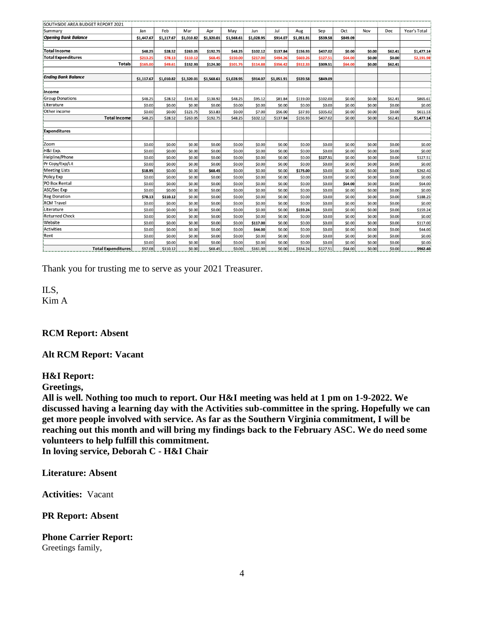| SOUTHSIDE AREA BUDGET REPORT 2021 |            |            |            |            |            |            |            |            |          |          |        |         |              |
|-----------------------------------|------------|------------|------------|------------|------------|------------|------------|------------|----------|----------|--------|---------|--------------|
| Summary                           | Jan        | Feb        | Mar        | Apr        | May        | Jun        | Jul        | Aug        | Sep      | Oct      | Nov    | Dec     | Year's Total |
| <b>Opening Bank Balance</b>       | \$1,447.67 | \$1,117.67 | \$1,010.82 | \$1,320.01 | \$1,568.61 | \$1,028.95 | \$914.07   | \$1,051.91 | \$539.58 | \$849.09 |        |         |              |
|                                   |            |            |            |            |            |            |            |            |          |          |        |         |              |
| <b>Total Income</b>               | \$48.25    | \$28.52    | \$263.05   | \$192.75   | \$48.25    | \$102.12   | \$137.84   | \$156.93   | \$437.02 | \$0.00   | \$0.00 | \$62.41 | \$1,477.14   |
| <b>Total Expenditures</b>         | \$213.25   | \$78.13    | \$110.12   | \$68.45    | \$150.00   | \$217.00   | \$494.26   | \$669.26   | \$127.51 | \$64.00  | \$0.00 | \$0.00  | \$2,191.98   |
| <b>Totals</b>                     | \$165.00   | \$49.61    | \$152.93   | \$124.30   | \$101.75   | \$114.88   | \$356.42   | \$512.33   | \$309.51 | \$64.00  | \$0.00 | \$62.41 |              |
|                                   |            |            |            |            |            |            |            |            |          |          |        |         |              |
| <b>Ending Bank Balance</b>        | \$1,117.67 | \$1,010.82 | \$1,320.01 | \$1,568.61 | \$1,028.95 | \$914.07   | \$1,051.91 | \$539.58   | \$849.09 |          |        |         |              |
|                                   |            |            |            |            |            |            |            |            |          |          |        |         |              |
| Income                            |            |            |            |            |            |            |            |            |          |          |        |         |              |
| <b>Group Donations</b>            | \$48.25    | \$28.52    | \$141.30   | \$138.92   | \$48.25    | \$95.12    | \$81.84    | \$119.00   | \$102.00 | \$0.00   | \$0.00 | \$62.41 | \$865.61     |
| Literature                        | \$0.00     | \$0.00     | \$0.00     | \$0.00     | \$0.00     | \$0.00     | \$0.00     | \$0.00     | \$0.00   | \$0.00   | \$0.00 | \$0.00  | \$0.00       |
| Other income                      | \$0.00     | \$0.00     | \$121.75   | \$53.83    | \$0.00     | \$7.00     | \$56.00    | \$37.93    | \$335.02 | \$0.00   | \$0.00 | \$0.00  | \$611.53     |
| <b>Total Income</b>               | \$48.25    | \$28.52    | \$263.05   | \$192.75   | \$48.25    | \$102.12   | \$137.84   | \$156.93   | \$437.02 | \$0.00   | \$0.00 | \$62.41 | \$1,477.14   |
|                                   |            |            |            |            |            |            |            |            |          |          |        |         |              |
| Expenditures                      |            |            |            |            |            |            |            |            |          |          |        |         |              |
|                                   |            |            |            |            |            |            |            |            |          |          |        |         |              |
| Zoom                              | \$0.00     | \$0.00     | \$0.00     | \$0.00     | \$0.00     | \$0.00     | \$0.00     | \$0.00     | \$0.00   | \$0.00   | \$0.00 | \$0.00  | \$0.00       |
| H&I Exp.                          | \$0.00     | \$0.00     | \$0.00     | \$0.00     | \$0.00     | \$0.00     | \$0.00     | \$0.00     | \$0.00   | \$0.00   | \$0.00 | \$0.00  | \$0.00       |
| Helpline/Phone                    | \$0.00     | \$0.00     | \$0.00     | \$0.00     | \$0.00     | \$0.00     | \$0.00     | \$0.00     | \$127.51 | \$0.00   | \$0.00 | \$0.00  | \$127.51     |
| Pr Copy/Exp/Lit                   | \$0.00     | \$0.00     | \$0.00     | \$0.00     | \$0.00     | \$0.00     | \$0.00     | \$0.00     | \$0.00   | \$0.00   | \$0.00 | \$0.00  | \$0.00       |
| <b>Meeting Lists</b>              | \$18.95    | \$0.00     | \$0.00     | \$68.45    | \$0.00     | \$0.00     | \$0.00     | \$175.00   | \$0.00   | \$0.00   | \$0.00 | \$0.00  | \$262.40     |
| <b>Policy Exp</b>                 | \$0.00     | \$0.00     | \$0.00     | \$0.00     | \$0.00     | \$0.00     | \$0.00     | \$0.00     | \$0.00   | \$0.00   | \$0.00 | \$0.00  | \$0.00       |
| PO Box Rental                     | \$0.00     | \$0.00     | \$0.00     | \$0.00     | \$0.00     | \$0.00     | \$0.00     | \$0.00     | \$0.00   | \$64.00  | \$0.00 | \$0.00  | \$64.00      |
| <b>ASC/Sec Exp</b>                | \$0.00     | \$0.00     | \$0.00     | \$0.00     | \$0.00     | \$0.00     | \$0.00     | \$0.00     | \$0.00   | \$0.00   | \$0.00 | \$0.00  | \$0.00       |
| <b>Reg Donation</b>               | \$78.13    | \$110.12   | \$0.00     | \$0.00     | \$0.00     | \$0.00     | \$0.00     | \$0.00     | \$0.00   | \$0.00   | \$0.00 | \$0.00  | \$188.25     |
| <b>RCM Travel</b>                 | \$0.00     | \$0.00     | \$0.00     | \$0.00     | \$0.00     | \$0.00     | \$0.00     | \$0.00     | \$0.00   | \$0.00   | \$0.00 | \$0.00  | \$0.00       |
| Literature                        | \$0.00     | \$0.00     | \$0.00     | \$0.00     | \$0.00     | \$0.00     | \$0.00     | \$159.24   | \$0.00   | \$0.00   | \$0.00 | \$0.00  | \$159.24     |
| <b>Returned Check</b>             | \$0.00     | \$0.00     | \$0.00     | \$0.00     | \$0.00     | \$0.00     | \$0.00     | \$0.00     | \$0.00   | \$0.00   | \$0.00 | \$0.00  | \$0.00       |
| Website                           | \$0.00     | \$0.00     | \$0.00     | \$0.00     | \$0.00     | \$117.00   | \$0.00     | \$0.00     | \$0.00   | \$0.00   | \$0.00 | \$0.00  | \$117.00     |
| <b>Activities</b>                 | \$0.00     | \$0.00     | \$0.00     | \$0.00     | \$0.00     | \$44.00    | \$0.00     | \$0.00     | \$0.00   | \$0.00   | \$0.00 | \$0.00  | \$44.00      |
| Rent                              | \$0.00     | \$0.00     | \$0.00     | \$0.00     | \$0.00     | \$0.00     | \$0.00     | \$0.00     | \$0.00   | \$0.00   | \$0.00 | \$0.00  | \$0.00       |
|                                   | \$0.00     | \$0.00     | \$0.00     | \$0.00     | \$0.00     | \$0.00     | \$0.00     | \$0.00     | \$0.00   | \$0.00   | \$0.00 | \$0.00  | \$0.00       |
| <b>Total Expenditures</b>         | \$97.08    | \$110.12   | \$0.00     | \$68.45    | \$0.00     | \$161.00   | \$0.00     | \$334.24   | \$127.51 | \$64.00  | \$0.00 | \$0.00  | \$962.40     |

Thank you for trusting me to serve as your 2021 Treasurer.

ILS, Kim A

#### **RCM Report: Absent**

## **Alt RCM Report: Vacant**

#### **H&I Report:**

**Greetings,**

**All is well. Nothing too much to report. Our H&I meeting was held at 1 pm on 1-9-2022. We discussed having a learning day with the Activities sub-committee in the spring. Hopefully we can get more people involved with service. As far as the Southern Virginia commitment, I will be reaching out this month and will bring my findings back to the February ASC. We do need some volunteers to help fulfill this commitment. In loving service, Deborah C - H&I Chair**

**Literature: Absent**

**Activities:** Vacant

**PR Report: Absent**

**Phone Carrier Report:** Greetings family,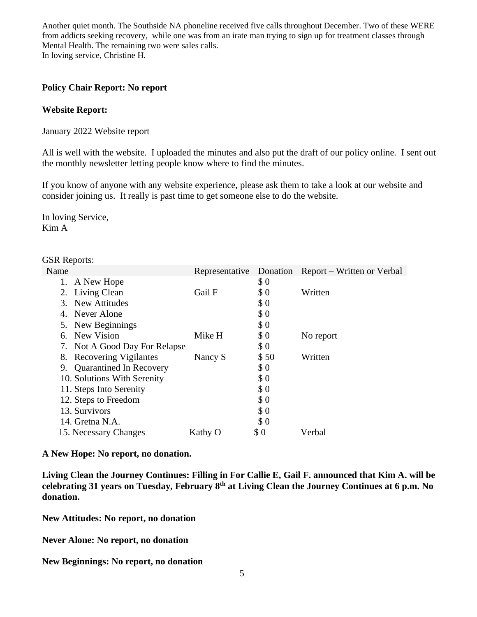Another quiet month. The Southside NA phoneline received five calls throughout December. Two of these WERE from addicts seeking recovery, while one was from an irate man trying to sign up for treatment classes through Mental Health. The remaining two were sales calls. In loving service, Christine H.

## **Policy Chair Report: No report**

## **Website Report:**

January 2022 Website report

All is well with the website. I uploaded the minutes and also put the draft of our policy online. I sent out the monthly newsletter letting people know where to find the minutes.

If you know of anyone with any website experience, please ask them to take a look at our website and consider joining us. It really is past time to get someone else to do the website.

In loving Service, Kim A

## GSR Reports:

| Name                               | Representative |      | Donation Report – Written or Verbal |
|------------------------------------|----------------|------|-------------------------------------|
| A New Hope<br>1.                   |                | \$0  |                                     |
| Living Clean<br>2.                 | Gail F         | \$0  | Written                             |
| <b>New Attitudes</b><br>3.         |                | \$0  |                                     |
| Never Alone<br>4.                  |                | \$0  |                                     |
| New Beginnings<br>5.               |                | \$0  |                                     |
| 6. New Vision                      | Mike H         | \$0  | No report                           |
| 7. Not A Good Day For Relapse      |                | \$0  |                                     |
| <b>Recovering Vigilantes</b><br>8. | Nancy S        | \$50 | Written                             |
| 9. Quarantined In Recovery         |                | \$0  |                                     |
| 10. Solutions With Serenity        |                | \$0  |                                     |
| 11. Steps Into Serenity            |                | \$0  |                                     |
| 12. Steps to Freedom               |                | \$0  |                                     |
| 13. Survivors                      |                | \$0  |                                     |
| 14. Gretna N.A.                    |                | \$0  |                                     |
| 15. Necessary Changes              | Kathy O        | \$0  | Verbal                              |

## **A New Hope: No report, no donation.**

**Living Clean the Journey Continues: Filling in For Callie E, Gail F. announced that Kim A. will be celebrating 31 years on Tuesday, February 8th at Living Clean the Journey Continues at 6 p.m. No donation.**

**New Attitudes: No report, no donation**

**Never Alone: No report, no donation**

**New Beginnings: No report, no donation**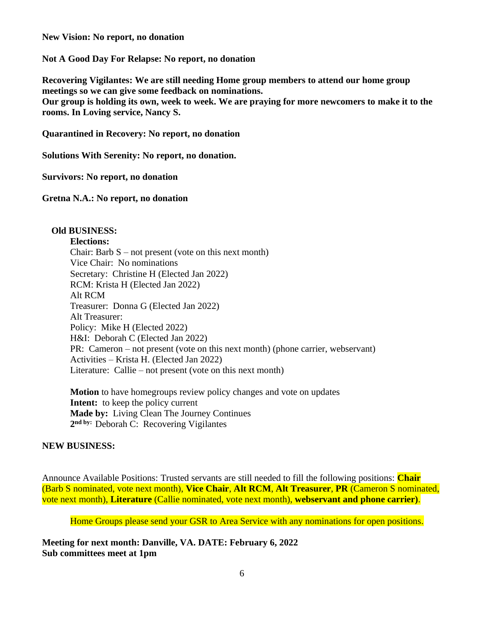**New Vision: No report, no donation**

**Not A Good Day For Relapse: No report, no donation**

**Recovering Vigilantes: We are still needing Home group members to attend our home group meetings so we can give some feedback on nominations. Our group is holding its own, week to week. We are praying for more newcomers to make it to the rooms. In Loving service, Nancy S.**

**Quarantined in Recovery: No report, no donation**

**Solutions With Serenity: No report, no donation.**

**Survivors: No report, no donation**

**Gretna N.A.: No report, no donation**

## **Old BUSINESS:**

#### **Elections:**

Chair: Barb S – not present (vote on this next month) Vice Chair: No nominations Secretary: Christine H (Elected Jan 2022) RCM: Krista H (Elected Jan 2022) Alt RCM Treasurer: Donna G (Elected Jan 2022) Alt Treasurer: Policy: Mike H (Elected 2022) H&I: Deborah C (Elected Jan 2022) PR: Cameron – not present (vote on this next month) (phone carrier, webservant) Activities – Krista H. (Elected Jan 2022) Literature: Callie – not present (vote on this next month)

**Motion** to have homegroups review policy changes and vote on updates **Intent:** to keep the policy current **Made by:** Living Clean The Journey Continues **2 nd by:** Deborah C: Recovering Vigilantes

## **NEW BUSINESS:**

Announce Available Positions: Trusted servants are still needed to fill the following positions: **Chair** (Barb S nominated, vote next month), **Vice Chair**, **Alt RCM**, **Alt Treasurer**, **PR** (Cameron S nominated, vote next month), **Literature** (Callie nominated, vote next month), **webservant and phone carrier)**.

Home Groups please send your GSR to Area Service with any nominations for open positions.

**Meeting for next month: Danville, VA. DATE: February 6, 2022 Sub committees meet at 1pm**